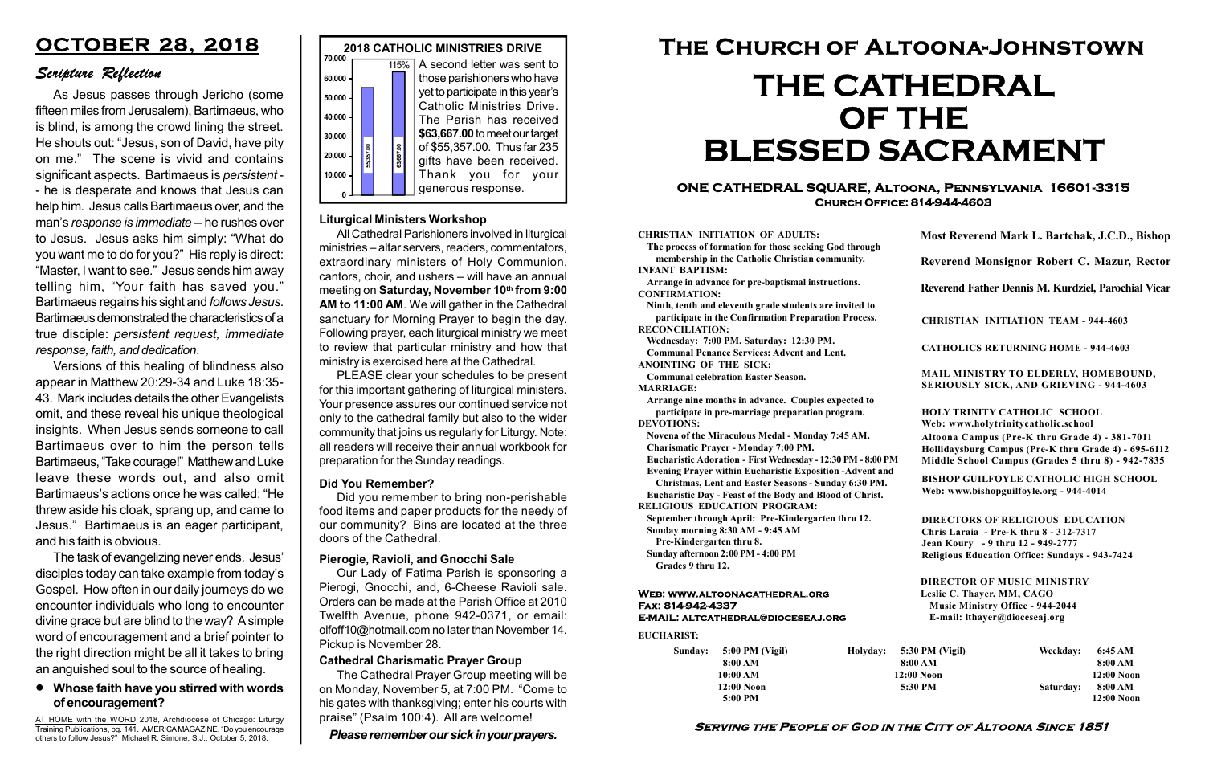Sunday: 5:00 PM (Vigil) 8:00 AM 10:00 AM 12:00 Noon 5:00 PM Holyday:

#### Serving the People of God in the City of Altoona Since 1851

#### Web: www.altoonacathedral.org Fax: 814-942-4337 E-MAIL: altcathedral@dioceseaj.org

EUCHARIST:

#### CHRISTIAN INITIATION OF ADULTS:

The process of formation for those seeking God through membership in the Catholic Christian community. INFANT BAPTISM:

Arrange in advance for pre-baptismal instructions. CONFIRMATION:

Ninth, tenth and eleventh grade students are invited to participate in the Confirmation Preparation Process. RECONCILIATION:

Wednesday: 7:00 PM, Saturday: 12:30 PM. Communal Penance Services: Advent and Lent.

ANOINTING OF THE SICK:

Communal celebration Easter Season. MARRIAGE:

Arrange nine months in advance. Couples expected to participate in pre-marriage preparation program. DEVOTIONS:

Novena of the Miraculous Medal - Monday 7:45 AM.

Charismatic Prayer - Monday 7:00 PM. Eucharistic Adoration - First Wednesday - 12:30 PM - 8:00 PM

Evening Prayer within Eucharistic Exposition -Advent and

Christmas, Lent and Easter Seasons - Sunday 6:30 PM.

|                         | Most Reverend Mark L. Bartchak, J.C.D., Bishop<br>Reverend Monsignor Robert C. Mazur, Rector                                                                                    |           |                         |
|-------------------------|---------------------------------------------------------------------------------------------------------------------------------------------------------------------------------|-----------|-------------------------|
|                         |                                                                                                                                                                                 |           |                         |
|                         | Reverend Father Dennis M. Kurdziel, Parochial Vicar                                                                                                                             |           |                         |
|                         | <b>CHRISTIAN INITIATION TEAM - 944-4603</b>                                                                                                                                     |           |                         |
|                         | <b>CATHOLICS RETURNING HOME - 944-4603</b>                                                                                                                                      |           |                         |
|                         | MAIL MINISTRY TO ELDERLY, HOMEBOUND,<br><b>SERIOUSLY SICK, AND GRIEVING - 944-4603</b>                                                                                          |           |                         |
|                         | <b>HOLY TRINITY CATHOLIC SCHOOL</b><br>Web: www.holytrinitycatholic.school                                                                                                      |           |                         |
| М                       | Altoona Campus (Pre-K thru Grade 4) - 381-7011<br>Hollidaysburg Campus (Pre-K thru Grade 4) - 695-6112<br>Middle School Campus (Grades 5 thru 8) - 942-7835                     |           |                         |
| ł                       | <b>BISHOP GUILFOYLE CATHOLIC HIGH SCHOOL</b><br>Web: www.bishopguilfoyle.org - 944-4014                                                                                         |           |                         |
|                         | <b>DIRECTORS OF RELIGIOUS EDUCATION</b><br>Chris Laraia - Pre-K thru 8 - 312-7317<br>Jean Koury - 9 thru 12 - 949-2777<br><b>Religious Education Office: Sundays - 943-7424</b> |           |                         |
|                         | <b>DIRECTOR OF MUSIC MINISTRY</b><br>Leslie C. Thayer, MM, CAGO<br><b>Music Ministry Office - 944-2044</b><br>E-mail: lthayer@dioceseaj.org                                     |           |                         |
| 5:30 PM (Vigil)         |                                                                                                                                                                                 | Weekday:  | 6:45 AM                 |
| 8:00 AM<br>$12:00$ Noon |                                                                                                                                                                                 |           | 8:00 AM<br>12:00 Noon   |
|                         | 5:30 PM                                                                                                                                                                         | Saturday: | 8:00 AM<br>$12:00$ Noon |
|                         |                                                                                                                                                                                 |           |                         |

Eucharistic Day - Feast of the Body and Blood of Christ. RELIGIOUS EDUCATION PROGRAM:

September through April: Pre-Kindergarten thru 12. Sunday morning 8:30 AM - 9:45 AM



Pre-Kindergarten thru 8.

Sunday afternoon 2:00 PM - 4:00 PM Grades 9 thru 12.

#### ONE CATHEDRAL SQUARE, Altoona, Pennsylvania 16601-3315 Church Office: 814-944-4603

# The Church of Altoona-Johnstown THE CATHEDRAL OF THE BLESSED SACRAMENT

AT HOME with the WORD 2018, Archdiocese of Chicago: Liturgy Training Publications, pg. 141. AMERICA MAGAZINE, "Do you encourage others to follow Jesus?" Michael R. Simone, S.J., October 5, 2018.

#### Liturgical Ministers Workshop

All Cathedral Parishioners involved in liturgical ministries – altar servers, readers, commentators, extraordinary ministers of Holy Communion, cantors, choir, and ushers – will have an annual meeting on Saturday, November 10th from 9:00 AM to 11:00 AM. We will gather in the Cathedral sanctuary for Morning Prayer to begin the day. Following prayer, each liturgical ministry we meet to review that particular ministry and how that ministry is exercised here at the Cathedral.

PLEASE clear your schedules to be present for this important gathering of liturgical ministers. Your presence assures our continued service not only to the cathedral family but also to the wider community that joins us regularly for Liturgy. Note: all readers will receive their annual workbook for preparation for the Sunday readings.

#### Whose faith have you stirred with words of encouragement?

## OCTOBER 28, 2018

### Scripture Reflection

As Jesus passes through Jericho (some fifteen miles from Jerusalem), Bartimaeus, who is blind, is among the crowd lining the street. He shouts out: "Jesus, son of David, have pity on me." The scene is vivid and contains significant aspects. Bartimaeus is persistent - - he is desperate and knows that Jesus can help him. Jesus calls Bartimaeus over, and the man's response is immediate -- he rushes over to Jesus. Jesus asks him simply: "What do you want me to do for you?" His reply is direct: "Master, I want to see." Jesus sends him away telling him, "Your faith has saved you." Bartimaeus regains his sight and follows Jesus. Bartimaeus demonstrated the characteristics of a true disciple: persistent request, immediate response, faith, and dedication.

Versions of this healing of blindness also appear in Matthew 20:29-34 and Luke 18:35- 43. Mark includes details the other Evangelists omit, and these reveal his unique theological insights. When Jesus sends someone to call Bartimaeus over to him the person tells Bartimaeus, "Take courage!" Matthew and Luke leave these words out, and also omit Bartimaeus's actions once he was called: "He threw aside his cloak, sprang up, and came to Jesus." Bartimaeus is an eager participant, and his faith is obvious.

The task of evangelizing never ends. Jesus' disciples today can take example from today's Gospel. How often in our daily journeys do we encounter individuals who long to encounter divine grace but are blind to the way? A simple word of encouragement and a brief pointer to the right direction might be all it takes to bring an anguished soul to the source of healing.

#### Pierogie, Ravioli, and Gnocchi Sale

Our Lady of Fatima Parish is sponsoring a Pierogi, Gnocchi, and, 6-Cheese Ravioli sale. Orders can be made at the Parish Office at 2010 Twelfth Avenue, phone 942-0371, or email: olfoff10@hotmail.com no later than November 14. Pickup is November 28.

Please remember our sick in your prayers.

#### Cathedral Charismatic Prayer Group

The Cathedral Prayer Group meeting will be on Monday, November 5, at 7:00 PM. "Come to his gates with thanksgiving; enter his courts with praise" (Psalm 100:4). All are welcome!

#### Did You Remember?

Did you remember to bring non-perishable food items and paper products for the needy of our community? Bins are located at the three doors of the Cathedral.